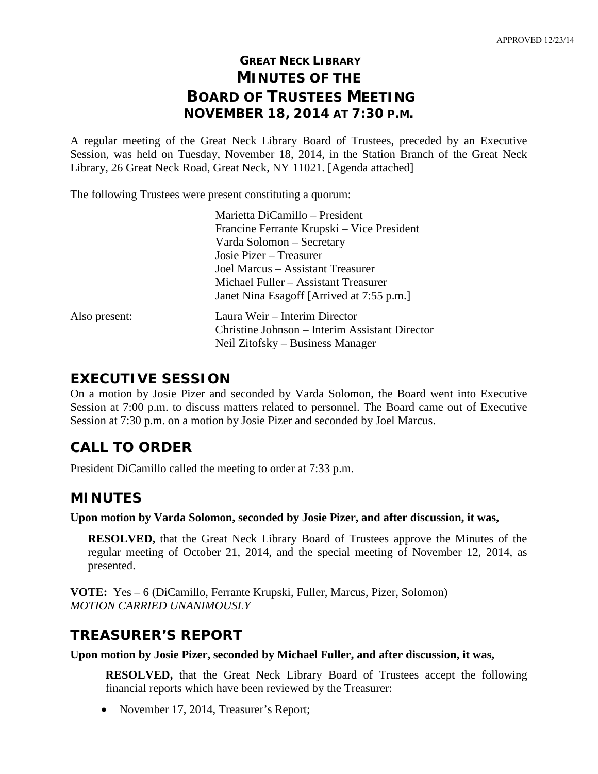# **GREAT NECK LIBRARY MINUTES OF THE BOARD OF TRUSTEES MEETING NOVEMBER 18, 2014 AT 7:30 P.M.**

A regular meeting of the Great Neck Library Board of Trustees, preceded by an Executive Session, was held on Tuesday, November 18, 2014, in the Station Branch of the Great Neck Library, 26 Great Neck Road, Great Neck, NY 11021. [Agenda attached]

The following Trustees were present constituting a quorum:

|               | Marietta DiCamillo - President                 |
|---------------|------------------------------------------------|
|               | Francine Ferrante Krupski – Vice President     |
|               | Varda Solomon - Secretary                      |
|               | Josie Pizer – Treasurer                        |
|               | Joel Marcus – Assistant Treasurer              |
|               | Michael Fuller – Assistant Treasurer           |
|               | Janet Nina Esagoff [Arrived at 7:55 p.m.]      |
| Also present: | Laura Weir – Interim Director                  |
|               | Christine Johnson – Interim Assistant Director |
|               | Neil Zitofsky – Business Manager               |
|               |                                                |

### **EXECUTIVE SESSION**

On a motion by Josie Pizer and seconded by Varda Solomon, the Board went into Executive Session at 7:00 p.m. to discuss matters related to personnel. The Board came out of Executive Session at 7:30 p.m. on a motion by Josie Pizer and seconded by Joel Marcus.

## **CALL TO ORDER**

President DiCamillo called the meeting to order at 7:33 p.m.

## **MINUTES**

**Upon motion by Varda Solomon, seconded by Josie Pizer, and after discussion, it was,**

**RESOLVED,** that the Great Neck Library Board of Trustees approve the Minutes of the regular meeting of October 21, 2014, and the special meeting of November 12, 2014, as presented.

**VOTE:** Yes – 6 (DiCamillo, Ferrante Krupski, Fuller, Marcus, Pizer, Solomon) *MOTION CARRIED UNANIMOUSLY* 

## **TREASURER'S REPORT**

**Upon motion by Josie Pizer, seconded by Michael Fuller, and after discussion, it was,**

**RESOLVED,** that the Great Neck Library Board of Trustees accept the following financial reports which have been reviewed by the Treasurer:

• November 17, 2014, Treasurer's Report;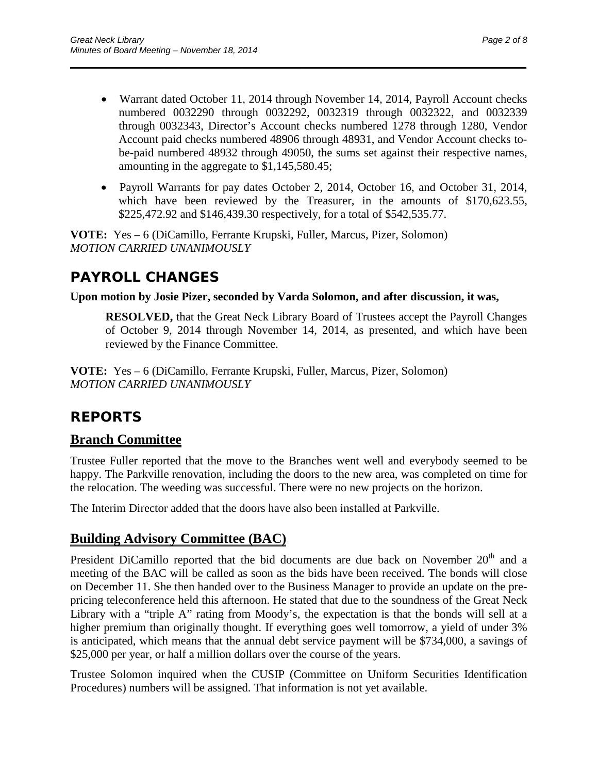• Warrant dated October 11, 2014 through November 14, 2014, Payroll Account checks numbered 0032290 through 0032292, 0032319 through 0032322, and 0032339 through 0032343, Director's Account checks numbered 1278 through 1280, Vendor Account paid checks numbered 48906 through 48931, and Vendor Account checks tobe-paid numbered 48932 through 49050, the sums set against their respective names, amounting in the aggregate to \$1,145,580.45;

\_\_\_\_\_\_\_\_\_\_\_\_\_\_\_\_\_\_\_\_\_\_\_\_\_\_\_\_\_\_\_\_\_\_\_\_\_\_\_\_\_\_\_\_\_\_\_\_\_\_\_\_\_\_\_\_\_\_\_\_\_\_\_\_\_\_\_\_\_\_

• Payroll Warrants for pay dates October 2, 2014, October 16, and October 31, 2014, which have been reviewed by the Treasurer, in the amounts of \$170,623.55, \$225,472.92 and \$146,439.30 respectively, for a total of \$542,535.77.

**VOTE:** Yes – 6 (DiCamillo, Ferrante Krupski, Fuller, Marcus, Pizer, Solomon) *MOTION CARRIED UNANIMOUSLY*

# **PAYROLL CHANGES**

#### **Upon motion by Josie Pizer, seconded by Varda Solomon, and after discussion, it was,**

**RESOLVED,** that the Great Neck Library Board of Trustees accept the Payroll Changes of October 9, 2014 through November 14, 2014, as presented, and which have been reviewed by the Finance Committee.

**VOTE:** Yes – 6 (DiCamillo, Ferrante Krupski, Fuller, Marcus, Pizer, Solomon) *MOTION CARRIED UNANIMOUSLY*

## **REPORTS**

### **Branch Committee**

Trustee Fuller reported that the move to the Branches went well and everybody seemed to be happy. The Parkville renovation, including the doors to the new area, was completed on time for the relocation. The weeding was successful. There were no new projects on the horizon.

The Interim Director added that the doors have also been installed at Parkville.

### **Building Advisory Committee (BAC)**

President DiCamillo reported that the bid documents are due back on November 20<sup>th</sup> and a meeting of the BAC will be called as soon as the bids have been received. The bonds will close on December 11. She then handed over to the Business Manager to provide an update on the prepricing teleconference held this afternoon. He stated that due to the soundness of the Great Neck Library with a "triple A" rating from Moody's, the expectation is that the bonds will sell at a higher premium than originally thought. If everything goes well tomorrow, a yield of under 3% is anticipated, which means that the annual debt service payment will be \$734,000, a savings of \$25,000 per year, or half a million dollars over the course of the years.

Trustee Solomon inquired when the CUSIP (Committee on Uniform Securities Identification Procedures) numbers will be assigned. That information is not yet available.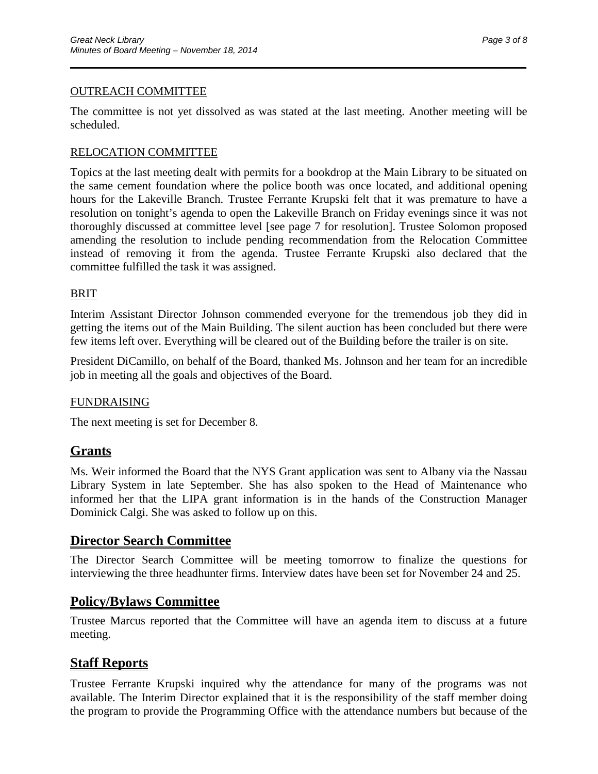#### OUTREACH COMMITTEE

The committee is not yet dissolved as was stated at the last meeting. Another meeting will be scheduled.

\_\_\_\_\_\_\_\_\_\_\_\_\_\_\_\_\_\_\_\_\_\_\_\_\_\_\_\_\_\_\_\_\_\_\_\_\_\_\_\_\_\_\_\_\_\_\_\_\_\_\_\_\_\_\_\_\_\_\_\_\_\_\_\_\_\_\_\_\_\_

#### RELOCATION COMMITTEE

Topics at the last meeting dealt with permits for a bookdrop at the Main Library to be situated on the same cement foundation where the police booth was once located, and additional opening hours for the Lakeville Branch. Trustee Ferrante Krupski felt that it was premature to have a resolution on tonight's agenda to open the Lakeville Branch on Friday evenings since it was not thoroughly discussed at committee level [see page 7 for resolution]. Trustee Solomon proposed amending the resolution to include pending recommendation from the Relocation Committee instead of removing it from the agenda. Trustee Ferrante Krupski also declared that the committee fulfilled the task it was assigned.

#### BRIT

Interim Assistant Director Johnson commended everyone for the tremendous job they did in getting the items out of the Main Building. The silent auction has been concluded but there were few items left over. Everything will be cleared out of the Building before the trailer is on site.

President DiCamillo, on behalf of the Board, thanked Ms. Johnson and her team for an incredible job in meeting all the goals and objectives of the Board.

#### FUNDRAISING

The next meeting is set for December 8.

### **Grants**

Ms. Weir informed the Board that the NYS Grant application was sent to Albany via the Nassau Library System in late September. She has also spoken to the Head of Maintenance who informed her that the LIPA grant information is in the hands of the Construction Manager Dominick Calgi. She was asked to follow up on this.

#### **Director Search Committee**

The Director Search Committee will be meeting tomorrow to finalize the questions for interviewing the three headhunter firms. Interview dates have been set for November 24 and 25.

### **Policy/Bylaws Committee**

Trustee Marcus reported that the Committee will have an agenda item to discuss at a future meeting.

### **Staff Reports**

Trustee Ferrante Krupski inquired why the attendance for many of the programs was not available. The Interim Director explained that it is the responsibility of the staff member doing the program to provide the Programming Office with the attendance numbers but because of the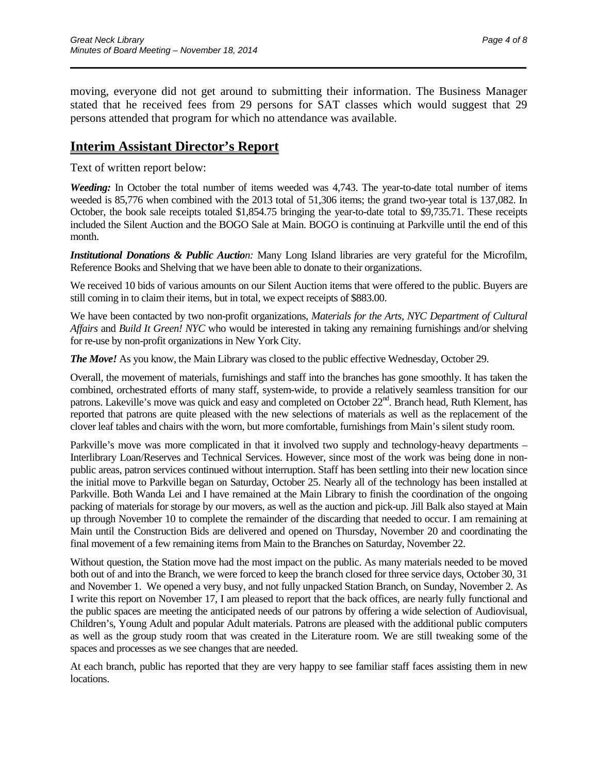moving, everyone did not get around to submitting their information. The Business Manager stated that he received fees from 29 persons for SAT classes which would suggest that 29 persons attended that program for which no attendance was available.

\_\_\_\_\_\_\_\_\_\_\_\_\_\_\_\_\_\_\_\_\_\_\_\_\_\_\_\_\_\_\_\_\_\_\_\_\_\_\_\_\_\_\_\_\_\_\_\_\_\_\_\_\_\_\_\_\_\_\_\_\_\_\_\_\_\_\_\_\_\_

### **Interim Assistant Director's Report**

Text of written report below:

*Weeding:* In October the total number of items weeded was 4,743. The year-to-date total number of items weeded is 85,776 when combined with the 2013 total of 51,306 items; the grand two-year total is 137,082. In October, the book sale receipts totaled \$1,854.75 bringing the year-to-date total to \$9,735.71. These receipts included the Silent Auction and the BOGO Sale at Main. BOGO is continuing at Parkville until the end of this month.

*Institutional Donations & Public Auction:* Many Long Island libraries are very grateful for the Microfilm, Reference Books and Shelving that we have been able to donate to their organizations.

We received 10 bids of various amounts on our Silent Auction items that were offered to the public. Buyers are still coming in to claim their items, but in total, we expect receipts of \$883.00.

We have been contacted by two non-profit organizations, *Materials for the Arts, NYC Department of Cultural Affairs* and *Build It Green! NYC* who would be interested in taking any remaining furnishings and/or shelving for re-use by non-profit organizations in New York City.

*The Move!* As you know, the Main Library was closed to the public effective Wednesday, October 29.

Overall, the movement of materials, furnishings and staff into the branches has gone smoothly. It has taken the combined, orchestrated efforts of many staff, system-wide, to provide a relatively seamless transition for our patrons. Lakeville's move was quick and easy and completed on October 22<sup>nd</sup>. Branch head, Ruth Klement, has reported that patrons are quite pleased with the new selections of materials as well as the replacement of the clover leaf tables and chairs with the worn, but more comfortable, furnishings from Main's silent study room.

Parkville's move was more complicated in that it involved two supply and technology-heavy departments – Interlibrary Loan/Reserves and Technical Services. However, since most of the work was being done in nonpublic areas, patron services continued without interruption. Staff has been settling into their new location since the initial move to Parkville began on Saturday, October 25. Nearly all of the technology has been installed at Parkville. Both Wanda Lei and I have remained at the Main Library to finish the coordination of the ongoing packing of materials for storage by our movers, as well as the auction and pick-up. Jill Balk also stayed at Main up through November 10 to complete the remainder of the discarding that needed to occur. I am remaining at Main until the Construction Bids are delivered and opened on Thursday, November 20 and coordinating the final movement of a few remaining items from Main to the Branches on Saturday, November 22.

Without question, the Station move had the most impact on the public. As many materials needed to be moved both out of and into the Branch, we were forced to keep the branch closed for three service days, October 30, 31 and November 1. We opened a very busy, and not fully unpacked Station Branch, on Sunday, November 2. As I write this report on November 17, I am pleased to report that the back offices, are nearly fully functional and the public spaces are meeting the anticipated needs of our patrons by offering a wide selection of Audiovisual, Children's, Young Adult and popular Adult materials. Patrons are pleased with the additional public computers as well as the group study room that was created in the Literature room. We are still tweaking some of the spaces and processes as we see changes that are needed.

At each branch, public has reported that they are very happy to see familiar staff faces assisting them in new locations.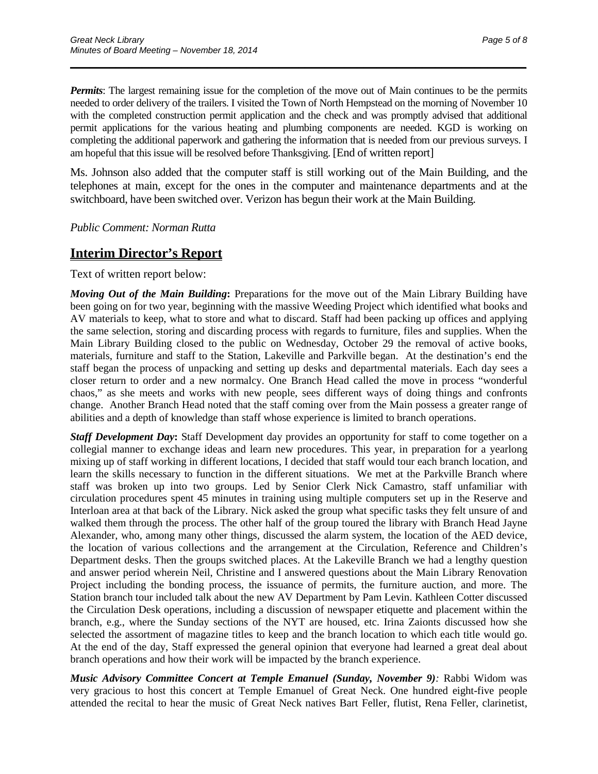*Permits*: The largest remaining issue for the completion of the move out of Main continues to be the permits needed to order delivery of the trailers. I visited the Town of North Hempstead on the morning of November 10 with the completed construction permit application and the check and was promptly advised that additional permit applications for the various heating and plumbing components are needed. KGD is working on completing the additional paperwork and gathering the information that is needed from our previous surveys. I am hopeful that this issue will be resolved before Thanksgiving. [End of written report]

\_\_\_\_\_\_\_\_\_\_\_\_\_\_\_\_\_\_\_\_\_\_\_\_\_\_\_\_\_\_\_\_\_\_\_\_\_\_\_\_\_\_\_\_\_\_\_\_\_\_\_\_\_\_\_\_\_\_\_\_\_\_\_\_\_\_\_\_\_\_

Ms. Johnson also added that the computer staff is still working out of the Main Building, and the telephones at main, except for the ones in the computer and maintenance departments and at the switchboard, have been switched over. Verizon has begun their work at the Main Building.

*Public Comment: Norman Rutta*

### **Interim Director's Report**

Text of written report below:

*Moving Out of the Main Building***:** Preparations for the move out of the Main Library Building have been going on for two year, beginning with the massive Weeding Project which identified what books and AV materials to keep, what to store and what to discard. Staff had been packing up offices and applying the same selection, storing and discarding process with regards to furniture, files and supplies. When the Main Library Building closed to the public on Wednesday, October 29 the removal of active books, materials, furniture and staff to the Station, Lakeville and Parkville began. At the destination's end the staff began the process of unpacking and setting up desks and departmental materials. Each day sees a closer return to order and a new normalcy. One Branch Head called the move in process "wonderful chaos," as she meets and works with new people, sees different ways of doing things and confronts change. Another Branch Head noted that the staff coming over from the Main possess a greater range of abilities and a depth of knowledge than staff whose experience is limited to branch operations.

*Staff Development Day*: Staff Development day provides an opportunity for staff to come together on a collegial manner to exchange ideas and learn new procedures. This year, in preparation for a yearlong mixing up of staff working in different locations, I decided that staff would tour each branch location, and learn the skills necessary to function in the different situations. We met at the Parkville Branch where staff was broken up into two groups. Led by Senior Clerk Nick Camastro, staff unfamiliar with circulation procedures spent 45 minutes in training using multiple computers set up in the Reserve and Interloan area at that back of the Library. Nick asked the group what specific tasks they felt unsure of and walked them through the process. The other half of the group toured the library with Branch Head Jayne Alexander, who, among many other things, discussed the alarm system, the location of the AED device, the location of various collections and the arrangement at the Circulation, Reference and Children's Department desks. Then the groups switched places. At the Lakeville Branch we had a lengthy question and answer period wherein Neil, Christine and I answered questions about the Main Library Renovation Project including the bonding process, the issuance of permits, the furniture auction, and more. The Station branch tour included talk about the new AV Department by Pam Levin. Kathleen Cotter discussed the Circulation Desk operations, including a discussion of newspaper etiquette and placement within the branch, e.g., where the Sunday sections of the NYT are housed, etc. Irina Zaionts discussed how she selected the assortment of magazine titles to keep and the branch location to which each title would go. At the end of the day, Staff expressed the general opinion that everyone had learned a great deal about branch operations and how their work will be impacted by the branch experience.

*Music Advisory Committee Concert at Temple Emanuel (Sunday, November 9):* Rabbi Widom was very gracious to host this concert at Temple Emanuel of Great Neck. One hundred eight-five people attended the recital to hear the music of Great Neck natives Bart Feller, flutist, Rena Feller, clarinetist,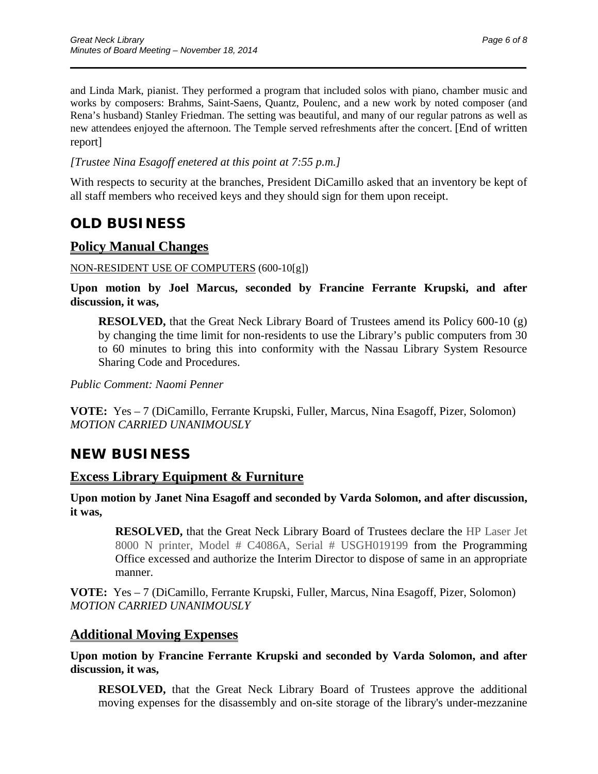and Linda Mark, pianist. They performed a program that included solos with piano, chamber music and works by composers: Brahms, Saint-Saens, Quantz, Poulenc, and a new work by noted composer (and Rena's husband) Stanley Friedman. The setting was beautiful, and many of our regular patrons as well as new attendees enjoyed the afternoon. The Temple served refreshments after the concert. [End of written report]

\_\_\_\_\_\_\_\_\_\_\_\_\_\_\_\_\_\_\_\_\_\_\_\_\_\_\_\_\_\_\_\_\_\_\_\_\_\_\_\_\_\_\_\_\_\_\_\_\_\_\_\_\_\_\_\_\_\_\_\_\_\_\_\_\_\_\_\_\_\_

#### *[Trustee Nina Esagoff enetered at this point at 7:55 p.m.]*

With respects to security at the branches, President DiCamillo asked that an inventory be kept of all staff members who received keys and they should sign for them upon receipt.

## **OLD BUSINESS**

### **Policy Manual Changes**

#### NON-RESIDENT USE OF COMPUTERS (600-10[g])

**Upon motion by Joel Marcus, seconded by Francine Ferrante Krupski, and after discussion, it was,**

**RESOLVED,** that the Great Neck Library Board of Trustees amend its Policy 600-10 (g) by changing the time limit for non-residents to use the Library's public computers from 30 to 60 minutes to bring this into conformity with the Nassau Library System Resource Sharing Code and Procedures.

*Public Comment: Naomi Penner*

**VOTE:** Yes – 7 (DiCamillo, Ferrante Krupski, Fuller, Marcus, Nina Esagoff, Pizer, Solomon) *MOTION CARRIED UNANIMOUSLY*

### **NEW BUSINESS**

### **Excess Library Equipment & Furniture**

**Upon motion by Janet Nina Esagoff and seconded by Varda Solomon, and after discussion, it was,**

**RESOLVED,** that the Great Neck Library Board of Trustees declare the HP Laser Jet 8000 N printer, Model # C4086A, Serial # USGH019199 from the Programming Office excessed and authorize the Interim Director to dispose of same in an appropriate manner.

**VOTE:** Yes – 7 (DiCamillo, Ferrante Krupski, Fuller, Marcus, Nina Esagoff, Pizer, Solomon) *MOTION CARRIED UNANIMOUSLY*

### **Additional Moving Expenses**

**Upon motion by Francine Ferrante Krupski and seconded by Varda Solomon, and after discussion, it was,**

**RESOLVED,** that the Great Neck Library Board of Trustees approve the additional moving expenses for the disassembly and on-site storage of the library's under-mezzanine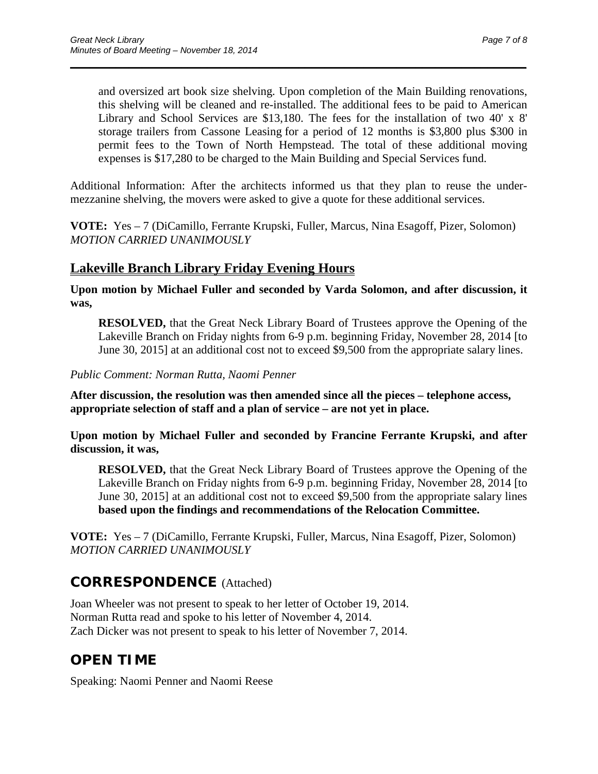and oversized art book size shelving. Upon completion of the Main Building renovations, this shelving will be cleaned and re-installed. The additional fees to be paid to American Library and School Services are \$13,180. The fees for the installation of two 40' x 8' storage trailers from Cassone Leasing for a period of 12 months is \$3,800 plus \$300 in permit fees to the Town of North Hempstead. The total of these additional moving expenses is \$17,280 to be charged to the Main Building and Special Services fund.

Additional Information: After the architects informed us that they plan to reuse the undermezzanine shelving, the movers were asked to give a quote for these additional services.

\_\_\_\_\_\_\_\_\_\_\_\_\_\_\_\_\_\_\_\_\_\_\_\_\_\_\_\_\_\_\_\_\_\_\_\_\_\_\_\_\_\_\_\_\_\_\_\_\_\_\_\_\_\_\_\_\_\_\_\_\_\_\_\_\_\_\_\_\_\_

**VOTE:** Yes – 7 (DiCamillo, Ferrante Krupski, Fuller, Marcus, Nina Esagoff, Pizer, Solomon) *MOTION CARRIED UNANIMOUSLY*

### **Lakeville Branch Library Friday Evening Hours**

**Upon motion by Michael Fuller and seconded by Varda Solomon, and after discussion, it was,**

**RESOLVED,** that the Great Neck Library Board of Trustees approve the Opening of the Lakeville Branch on Friday nights from 6-9 p.m. beginning Friday, November 28, 2014 [to June 30, 2015] at an additional cost not to exceed \$9,500 from the appropriate salary lines.

### *Public Comment: Norman Rutta, Naomi Penner*

**After discussion, the resolution was then amended since all the pieces – telephone access, appropriate selection of staff and a plan of service – are not yet in place.**

**Upon motion by Michael Fuller and seconded by Francine Ferrante Krupski, and after discussion, it was,**

**RESOLVED,** that the Great Neck Library Board of Trustees approve the Opening of the Lakeville Branch on Friday nights from 6-9 p.m. beginning Friday, November 28, 2014 [to June 30, 2015] at an additional cost not to exceed \$9,500 from the appropriate salary lines **based upon the findings and recommendations of the Relocation Committee.**

**VOTE:** Yes – 7 (DiCamillo, Ferrante Krupski, Fuller, Marcus, Nina Esagoff, Pizer, Solomon) *MOTION CARRIED UNANIMOUSLY*

## **CORRESPONDENCE** (Attached)

Joan Wheeler was not present to speak to her letter of October 19, 2014. Norman Rutta read and spoke to his letter of November 4, 2014. Zach Dicker was not present to speak to his letter of November 7, 2014.

# **OPEN TIME**

Speaking: Naomi Penner and Naomi Reese